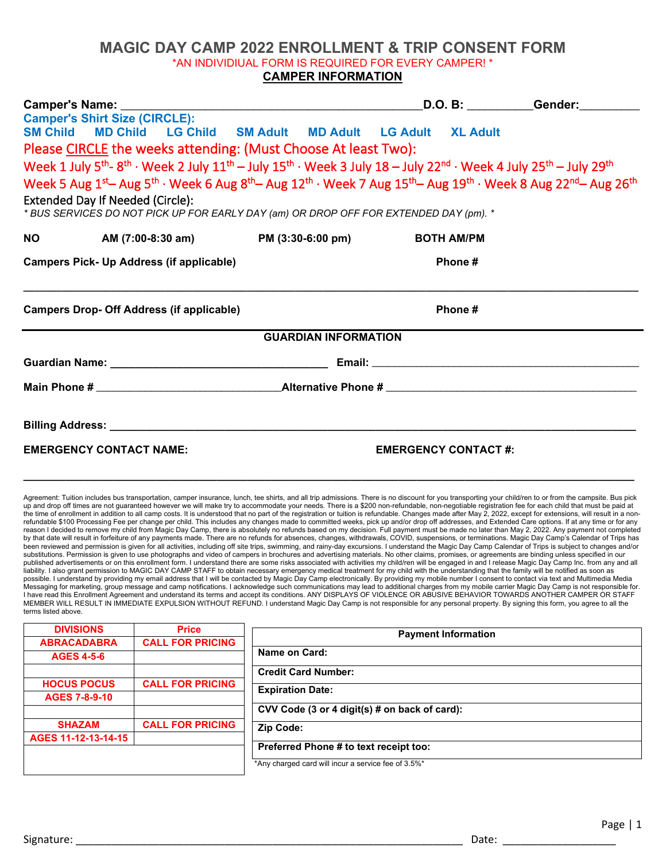## **MAGIC DAY CAMP 2022 ENROLLMENT & TRIP CONSENT FORM** \*AN INDIVIDIUAL FORM IS REQUIRED FOR EVERY CAMPER! \* **CAMPER INFORMATION**

|                                                                                                                                                                                                                                                                                                                                                                           |                                                                |  |        |                             |                            |  | D.O. B: __________Gender:_________ |  |                                                                                                                                  |  |  |  |  |                   |  |  |  |
|---------------------------------------------------------------------------------------------------------------------------------------------------------------------------------------------------------------------------------------------------------------------------------------------------------------------------------------------------------------------------|----------------------------------------------------------------|--|--------|-----------------------------|----------------------------|--|------------------------------------|--|----------------------------------------------------------------------------------------------------------------------------------|--|--|--|--|-------------------|--|--|--|
|                                                                                                                                                                                                                                                                                                                                                                           | <b>Camper's Shirt Size (CIRCLE):</b>                           |  |        |                             |                            |  |                                    |  |                                                                                                                                  |  |  |  |  |                   |  |  |  |
|                                                                                                                                                                                                                                                                                                                                                                           | SM Child MD Child LG Child SM Adult MD Adult LG Adult XL Adult |  |        |                             |                            |  |                                    |  |                                                                                                                                  |  |  |  |  |                   |  |  |  |
| Please CIRCLE the weeks attending: (Must Choose At least Two):<br>Week 1 July $5^{th}$ - $8^{th}$ · Week 2 July $11^{th}$ - July $15^{th}$ · Week 3 July $18$ - July $22^{nd}$ · Week 4 July $25^{th}$ - July $29^{th}$<br>Week 5 Aug $1^{st}$ Aug $5^{th}$ · Week 6 Aug $8^{th}$ Aug $12^{th}$ · Week 7 Aug $15^{th}$ Aug $19^{th}$ · Week 8 Aug $22^{nd}$ Aug $26^{th}$ |                                                                |  |        |                             |                            |  |                                    |  |                                                                                                                                  |  |  |  |  |                   |  |  |  |
|                                                                                                                                                                                                                                                                                                                                                                           |                                                                |  |        |                             |                            |  |                                    |  | <b>Extended Day If Needed (Circle):</b><br>* BUS SERVICES DO NOT PICK UP FOR EARLY DAY (am) OR DROP OFF FOR EXTENDED DAY (pm). * |  |  |  |  |                   |  |  |  |
|                                                                                                                                                                                                                                                                                                                                                                           |                                                                |  |        |                             |                            |  |                                    |  |                                                                                                                                  |  |  |  |  | <b>BOTH AM/PM</b> |  |  |  |
|                                                                                                                                                                                                                                                                                                                                                                           | <b>Campers Pick- Up Address (if applicable)</b>                |  | Phone# |                             |                            |  |                                    |  |                                                                                                                                  |  |  |  |  |                   |  |  |  |
| <b>Campers Drop- Off Address (if applicable)</b>                                                                                                                                                                                                                                                                                                                          |                                                                |  |        |                             | Phone#                     |  |                                    |  |                                                                                                                                  |  |  |  |  |                   |  |  |  |
|                                                                                                                                                                                                                                                                                                                                                                           |                                                                |  |        | <b>GUARDIAN INFORMATION</b> |                            |  |                                    |  |                                                                                                                                  |  |  |  |  |                   |  |  |  |
|                                                                                                                                                                                                                                                                                                                                                                           |                                                                |  |        |                             |                            |  |                                    |  |                                                                                                                                  |  |  |  |  |                   |  |  |  |
|                                                                                                                                                                                                                                                                                                                                                                           |                                                                |  |        |                             |                            |  |                                    |  |                                                                                                                                  |  |  |  |  |                   |  |  |  |
|                                                                                                                                                                                                                                                                                                                                                                           |                                                                |  |        |                             |                            |  |                                    |  |                                                                                                                                  |  |  |  |  |                   |  |  |  |
|                                                                                                                                                                                                                                                                                                                                                                           |                                                                |  |        |                             |                            |  |                                    |  |                                                                                                                                  |  |  |  |  |                   |  |  |  |
| <b>EMERGENCY CONTACT NAME:</b>                                                                                                                                                                                                                                                                                                                                            |                                                                |  |        |                             | <b>EMERGENCY CONTACT#:</b> |  |                                    |  |                                                                                                                                  |  |  |  |  |                   |  |  |  |

Agreement: Tuition includes bus transportation, camper insurance, lunch, tee shirts, and all trip admissions. There is no discount for you transporting your child/ren to or from the campsite. Bus pick<br>up and drop off times the time of enrollment in addition to all camp costs. It is understood that no part of the registration or tuition is refundable. Changes made after May 2, 2022, except for extensions, will result in a nonrefundable \$100 Processing Fee per change per child. This includes any changes made to committed weeks, pick up and/or drop off addresses, and Extended Care options. If at any time or for any<br>reason I decided to remove my been reviewed and permission is given for all activities, including off site trips, swimming, and rainy-day excursions. I understand the Magic Day Camp Calendar of Trips is subject to changes and/or substitutions. Permission is given to use photographs and video of campers in brochures and advertising materials. No other claims, promises, or agreements are binding unless specified in our published advertisements or on this enrollment form. I understand there are some risks associated with activities my child/ren will be engaged in and I release Magic Day Camp Inc. from any and all<br>liability. I also grant p I have read this Enrollment Agreement and understand its terms and accept its conditions. ANY DISPLAYS OF VIOLENCE OR ABUSIVE BEHAVIOR TOWARDS ANOTHER CAMPER OR STAFF MEMBER WILL RESULT IN IMMEDIATE EXPULSION WITHOUT REFUND. I understand Magic Day Camp is not responsible for any personal property. By signing this form, you agree to all the terms listed above.

**\_\_\_\_\_\_\_\_\_\_\_\_\_\_\_\_\_\_\_\_\_\_\_\_\_\_\_\_\_\_\_\_\_\_\_\_\_\_\_\_\_\_\_\_\_\_\_\_\_\_\_\_\_\_\_\_\_\_\_\_\_\_\_\_\_\_\_\_\_\_\_\_\_\_\_\_\_\_\_\_\_\_\_\_\_\_\_\_\_\_\_\_\_\_\_\_\_\_\_\_\_**

| <b>DIVISIONS</b>     | <b>Price</b>            | <b>Payment Information</b>                          |  |  |  |
|----------------------|-------------------------|-----------------------------------------------------|--|--|--|
| <b>ABRACADABRA</b>   | <b>CALL FOR PRICING</b> |                                                     |  |  |  |
| <b>AGES 4-5-6</b>    |                         | Name on Card:                                       |  |  |  |
|                      |                         | <b>Credit Card Number:</b>                          |  |  |  |
| <b>HOCUS POCUS</b>   | <b>CALL FOR PRICING</b> |                                                     |  |  |  |
| <b>AGES 7-8-9-10</b> |                         | <b>Expiration Date:</b>                             |  |  |  |
|                      |                         | CVV Code (3 or 4 digit(s) # on back of card):       |  |  |  |
| <b>SHAZAM</b>        | <b>CALL FOR PRICING</b> | Zip Code:                                           |  |  |  |
| AGES 11-12-13-14-15  |                         |                                                     |  |  |  |
|                      |                         | Preferred Phone # to text receipt too:              |  |  |  |
|                      |                         | *Any charged card will incur a service fee of 3.5%* |  |  |  |